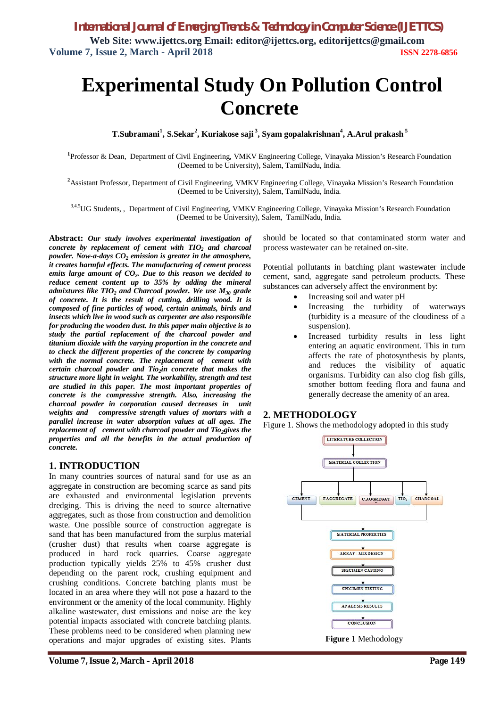# **Experimental Study On Pollution Control Concrete**

**T.Subramani<sup>1</sup> , S.Sekar<sup>2</sup> , Kuriakose saji <sup>3</sup> , Syam gopalakrishnan<sup>4</sup> , A.Arul prakash <sup>5</sup>**

**1** Professor & Dean, Department of Civil Engineering, VMKV Engineering College, Vinayaka Mission's Research Foundation (Deemed to be University), Salem, TamilNadu, India.

**<sup>2</sup>**Assistant Professor, Department of Civil Engineering, VMKV Engineering College, Vinayaka Mission's Research Foundation (Deemed to be University), Salem, TamilNadu, India.

3,4,5UG Students,, Department of Civil Engineering, VMKV Engineering College, Vinayaka Mission's Research Foundation (Deemed to be University), Salem, TamilNadu, India.

**Abstract:** *Our study involves experimental investigation of concrete by replacement of cement with TIO<sup>2</sup> and charcoal powder. Now-a-days CO<sup>2</sup> emission is greater in the atmosphere, it creates harmful effects. The manufacturing of cement process emits large amount of CO2. Due to this reason we decided to reduce cement content up to 35% by adding the mineral admixtures like TIO<sup>2</sup> and Charcoal powder. We use M<sup>30</sup> grade of concrete. It is the result of cutting, drilling wood. It is composed of fine particles of wood, certain animals, birds and insects which live in wood such as carpenter are also responsible for producing the wooden dust. In this paper main objective is to study the partial replacement of the charcoal powder and titanium dioxide with the varying proportion in the concrete and to check the different properties of the concrete by comparing with the normal concrete. The replacement of cement with certain charcoal powder and Tio2in concrete that makes the structure more light in weight. The workability, strength and test are studied in this paper. The most important properties of concrete is the compressive strength. Also, increasing the charcoal powder in corporation caused decreases in unit weights and compressive strength values of mortars with a parallel increase in water absorption values at all ages. The replacement of cement with charcoal powder and Tio2gives the properties and all the benefits in the actual production of concrete.*

### **1. INTRODUCTION**

In many countries sources of natural sand for use as an aggregate in construction are becoming scarce as sand pits are exhausted and environmental legislation prevents dredging. This is driving the need to source alternative aggregates, such as those from construction and demolition waste. One possible source of construction aggregate is sand that has been manufactured from the surplus material (crusher dust) that results when coarse aggregate is produced in hard rock quarries. Coarse aggregate production typically yields 25% to 45% crusher dust depending on the parent rock, crushing equipment and crushing conditions. Concrete batching plants must be located in an area where they will not pose a hazard to the environment or the amenity of the local community. Highly alkaline wastewater, dust emissions and noise are the key potential impacts associated with concrete batching plants. These problems need to be considered when planning new operations and major upgrades of existing sites. Plants

should be located so that contaminated storm water and process wastewater can be retained on-site.

Potential pollutants in batching plant wastewater include cement, sand, aggregate sand petroleum products. These substances can adversely affect the environment by:

- Increasing soil and water pH
- Increasing the turbidity of waterways (turbidity is a measure of the cloudiness of a suspension).
- Increased turbidity results in less light entering an aquatic environment. This in turn affects the rate of photosynthesis by plants, and reduces the visibility of aquatic organisms. Turbidity can also clog fish gills, smother bottom feeding flora and fauna and generally decrease the amenity of an area.

### **2. METHODOLOGY**

Figure 1. Shows the methodology adopted in this study

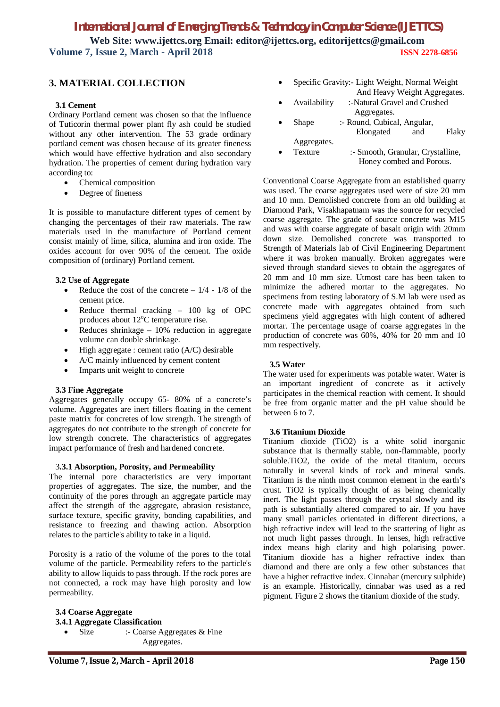# **3. MATERIAL COLLECTION**

#### **3.1 Cement**

Ordinary Portland cement was chosen so that the influence of Tuticorin thermal power plant fly ash could be studied without any other intervention. The 53 grade ordinary portland cement was chosen because of its greater fineness which would have effective hydration and also secondary hydration. The properties of cement during hydration vary according to:

- Chemical composition
- Degree of fineness

It is possible to manufacture different types of cement by changing the percentages of their raw materials. The raw materials used in the manufacture of Portland cement consist mainly of lime, silica, alumina and iron oxide. The oxides account for over 90% of the cement. The oxide composition of (ordinary) Portland cement.

#### **3.2 Use of Aggregate**

- Reduce the cost of the concrete  $-1/4 1/8$  of the cement price.
- Reduce thermal cracking 100 kg of OPC produces about  $12^{\circ}$ C temperature rise.
- Reduces shrinkage  $-10\%$  reduction in aggregate volume can double shrinkage.
- High aggregate : cement ratio (A/C) desirable
- A/C mainly influenced by cement content
- Imparts unit weight to concrete

#### **3.3 Fine Aggregate**

Aggregates generally occupy 65- 80% of a concrete's volume. Aggregates are inert fillers floating in the cement paste matrix for concretes of low strength. The strength of aggregates do not contribute to the strength of concrete for low strength concrete. The characteristics of aggregates impact performance of fresh and hardened concrete.

#### 3**.3.1 Absorption, Porosity, and Permeability**

The internal pore characteristics are very important properties of aggregates. The size, the number, and the continuity of the pores through an aggregate particle may affect the strength of the aggregate, abrasion resistance, surface texture, specific gravity, bonding capabilities, and resistance to freezing and thawing action. Absorption relates to the particle's ability to take in a liquid.

Porosity is a ratio of the volume of the pores to the total volume of the particle. Permeability refers to the particle's ability to allow liquids to pass through. If the rock pores are not connected, a rock may have high porosity and low permeability.

### **3.4 Coarse Aggregate 3.4.1 Aggregate Classification**  • Size :- Coarse Aggregates & Fine

Aggregates.

**Volume 7, Issue 2, March – April 2018 Page 150**

- Specific Gravity:- Light Weight, Normal Weight And Heavy Weight Aggregates.
- Availability :-Natural Gravel and Crushed Aggregates.
- Shape :- Round, Cubical, Angular, Elongated and Flaky Aggregates.
- Texture :- Smooth, Granular, Crystalline, Honey combed and Porous.

Conventional Coarse Aggregate from an established quarry was used. The coarse aggregates used were of size 20 mm and 10 mm. Demolished concrete from an old building at Diamond Park, Visakhapatnam was the source for recycled coarse aggregate. The grade of source concrete was M15 and was with coarse aggregate of basalt origin with 20mm down size. Demolished concrete was transported to Strength of Materials lab of Civil Engineering Department where it was broken manually. Broken aggregates were sieved through standard sieves to obtain the aggregates of 20 mm and 10 mm size. Utmost care has been taken to minimize the adhered mortar to the aggregates. No specimens from testing laboratory of S.M lab were used as concrete made with aggregates obtained from such specimens yield aggregates with high content of adhered mortar. The percentage usage of coarse aggregates in the production of concrete was 60%, 40% for 20 mm and 10 mm respectively.

#### **3.5 Water**

The water used for experiments was potable water. Water is an important ingredient of concrete as it actively participates in the chemical reaction with cement. It should be free from organic matter and the pH value should be between 6 to 7.

#### **3.6 Titanium Dioxide**

Titanium dioxide (TiO2) is a white solid inorganic substance that is thermally stable, non-flammable, poorly soluble.TiO2, the oxide of the metal titanium, occurs naturally in several kinds of rock and mineral sands. Titanium is the ninth most common element in the earth's crust. TiO2 is typically thought of as being chemically inert. The light passes through the crystal slowly and its path is substantially altered compared to air. If you have many small particles orientated in different directions, a high refractive index will lead to the scattering of light as not much light passes through. In lenses, high refractive index means high clarity and high polarising power. Titanium dioxide has a higher refractive index than diamond and there are only a few other substances that have a higher refractive index. Cinnabar (mercury sulphide) is an example. Historically, cinnabar was used as a red pigment. Figure 2 shows the titanium dioxide of the study.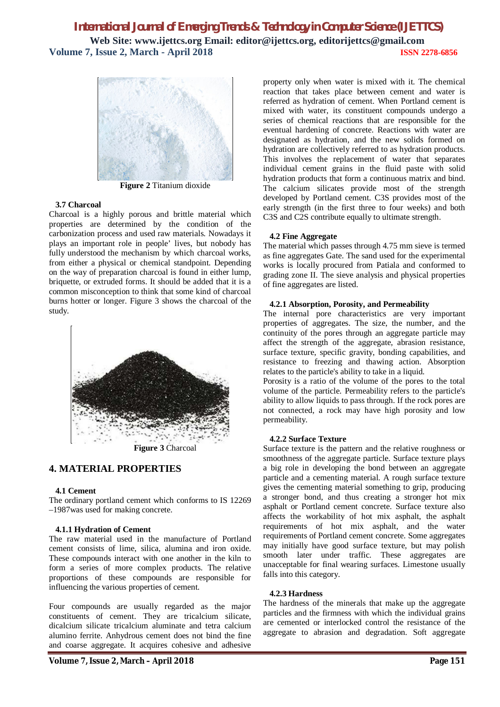

**Figure 2** Titanium dioxide

#### **3.7 Charcoal**

Charcoal is a highly porous and brittle material which properties are determined by the condition of the carbonization process and used raw materials. Nowadays it plays an important role in people' lives, but nobody has fully understood the mechanism by which charcoal works, from either a physical or chemical standpoint. Depending on the way of preparation charcoal is found in either lump, briquette, or extruded forms. It should be added that it is a common misconception to think that some kind of charcoal burns hotter or longer. Figure 3 shows the charcoal of the study.



**Figure 3** Charcoal

## **4. MATERIAL PROPERTIES**

#### **4.1 Cement**

The ordinary portland cement which conforms to IS 12269 –1987was used for making concrete.

#### **4.1.1 Hydration of Cement**

The raw material used in the manufacture of Portland cement consists of lime, silica, alumina and iron oxide. These compounds interact with one another in the kiln to form a series of more complex products. The relative proportions of these compounds are responsible for influencing the various properties of cement.

Four compounds are usually regarded as the major constituents of cement. They are tricalcium silicate, dicalcium silicate tricalcium aluminate and tetra calcium alumino ferrite. Anhydrous cement does not bind the fine and coarse aggregate. It acquires cohesive and adhesive

property only when water is mixed with it. The chemical reaction that takes place between cement and water is referred as hydration of cement. When Portland cement is mixed with water, its constituent compounds undergo a series of chemical reactions that are responsible for the eventual hardening of concrete. Reactions with water are designated as hydration, and the new solids formed on hydration are collectively referred to as hydration products. This involves the replacement of water that separates individual cement grains in the fluid paste with solid hydration products that form a continuous matrix and bind. The calcium silicates provide most of the strength developed by Portland cement. C3S provides most of the early strength (in the first three to four weeks) and both C3S and C2S contribute equally to ultimate strength.

#### **4.2 Fine Aggregate**

The material which passes through 4.75 mm sieve is termed as fine aggregates Gate. The sand used for the experimental works is locally procured from Patiala and conformed to grading zone II. The sieve analysis and physical properties of fine aggregates are listed.

#### **4.2.1 Absorption, Porosity, and Permeability**

The internal pore characteristics are very important properties of aggregates. The size, the number, and the continuity of the pores through an aggregate particle may affect the strength of the aggregate, abrasion resistance, surface texture, specific gravity, bonding capabilities, and resistance to freezing and thawing action. Absorption relates to the particle's ability to take in a liquid.

Porosity is a ratio of the volume of the pores to the total volume of the particle. Permeability refers to the particle's ability to allow liquids to pass through. If the rock pores are not connected, a rock may have high porosity and low permeability.

#### **4.2.2 Surface Texture**

Surface texture is the pattern and the relative roughness or smoothness of the aggregate particle. Surface texture plays a big role in developing the bond between an aggregate particle and a cementing material. A rough surface texture gives the cementing material something to grip, producing a stronger bond, and thus creating a stronger hot mix asphalt or Portland cement concrete. Surface texture also affects the workability of hot mix asphalt, the asphalt requirements of hot mix asphalt, and the water requirements of Portland cement concrete. Some aggregates may initially have good surface texture, but may polish smooth later under traffic. These aggregates are unacceptable for final wearing surfaces. Limestone usually falls into this category.

#### **4.2.3 Hardness**

The hardness of the minerals that make up the aggregate particles and the firmness with which the individual grains are cemented or interlocked control the resistance of the aggregate to abrasion and degradation. Soft aggregate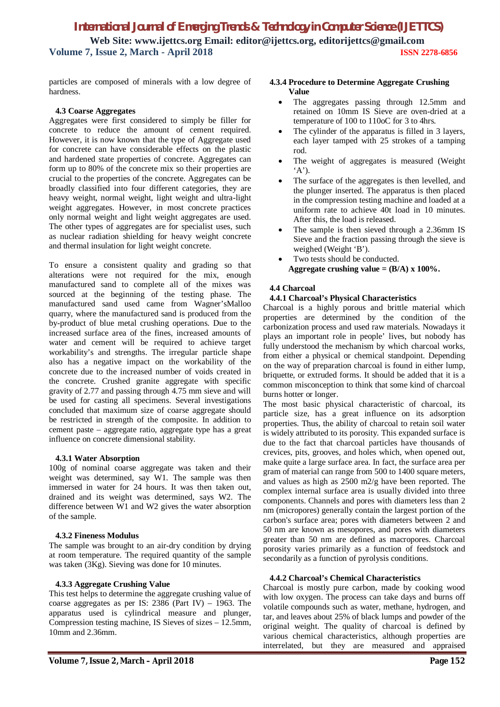particles are composed of minerals with a low degree of hardness.

#### **4.3 Coarse Aggregates**

Aggregates were first considered to simply be filler for concrete to reduce the amount of cement required. However, it is now known that the type of Aggregate used for concrete can have considerable effects on the plastic and hardened state properties of concrete. Aggregates can form up to 80% of the concrete mix so their properties are crucial to the properties of the concrete. Aggregates can be broadly classified into four different categories, they are heavy weight, normal weight, light weight and ultra-light weight aggregates. However, in most concrete practices only normal weight and light weight aggregates are used. The other types of aggregates are for specialist uses, such as nuclear radiation shielding for heavy weight concrete and thermal insulation for light weight concrete.

To ensure a consistent quality and grading so that alterations were not required for the mix, enough manufactured sand to complete all of the mixes was sourced at the beginning of the testing phase. The manufactured sand used came from Wagner'sMalloo quarry, where the manufactured sand is produced from the by-product of blue metal crushing operations. Due to the increased surface area of the fines, increased amounts of water and cement will be required to achieve target workability's and strengths. The irregular particle shape also has a negative impact on the workability of the concrete due to the increased number of voids created in the concrete. Crushed granite aggregate with specific gravity of 2.77 and passing through 4.75 mm sieve and will be used for casting all specimens. Several investigations concluded that maximum size of coarse aggregate should be restricted in strength of the composite. In addition to cement paste – aggregate ratio, aggregate type has a great influence on concrete dimensional stability.

#### **4.3.1 Water Absorption**

100g of nominal coarse aggregate was taken and their weight was determined, say W1. The sample was then immersed in water for 24 hours. It was then taken out, drained and its weight was determined, says W2. The difference between W1 and W2 gives the water absorption of the sample.

#### **4.3.2 Fineness Modulus**

The sample was brought to an air-dry condition by drying at room temperature. The required quantity of the sample was taken (3Kg). Sieving was done for 10 minutes.

#### **4.3.3 Aggregate Crushing Value**

This test helps to determine the aggregate crushing value of coarse aggregates as per IS: 2386 (Part IV) – 1963. The apparatus used is cylindrical measure and plunger, Compression testing machine, IS Sieves of sizes – 12.5mm, 10mm and 2.36mm.

### **4.3.4 Procedure to Determine Aggregate Crushing Value**

- The aggregates passing through 12.5mm and retained on 10mm IS Sieve are oven-dried at a temperature of 100 to 110oC for 3 to 4hrs.
- The cylinder of the apparatus is filled in 3 layers, each layer tamped with 25 strokes of a tamping rod.
- The weight of aggregates is measured (Weight  $(A')$ .
- The surface of the aggregates is then levelled, and the plunger inserted. The apparatus is then placed in the compression testing machine and loaded at a uniform rate to achieve 40t load in 10 minutes. After this, the load is released.
- The sample is then sieved through a 2.36mm IS Sieve and the fraction passing through the sieve is weighed (Weight 'B').
- Two tests should be conducted. **Aggregate crushing value = (B/A) x 100%.**

#### **4.4 Charcoal**

#### **4.4.1 Charcoal's Physical Characteristics**

Charcoal is a highly porous and brittle material which properties are determined by the condition of the carbonization process and used raw materials. Nowadays it plays an important role in people' lives, but nobody has fully understood the mechanism by which charcoal works, from either a physical or chemical standpoint. Depending on the way of preparation charcoal is found in either lump, briquette, or extruded forms. It should be added that it is a common misconception to think that some kind of charcoal burns hotter or longer.

The most basic physical characteristic of charcoal, its particle size, has a great influence on its adsorption properties. Thus, the ability of charcoal to retain soil water is widely attributed to its porosity. This expanded surface is due to the fact that charcoal particles have thousands of crevices, pits, grooves, and holes which, when opened out, make quite a large surface area. In fact, the surface area per gram of material can range from 500 to 1400 square meters, and values as high as 2500 m2/g have been reported. The complex internal surface area is usually divided into three components. Channels and pores with diameters less than 2 nm (micropores) generally contain the largest portion of the carbon's surface area; pores with diameters between 2 and 50 nm are known as mesopores, and pores with diameters greater than 50 nm are defined as macropores. Charcoal porosity varies primarily as a function of feedstock and secondarily as a function of pyrolysis conditions.

#### **4.4.2 Charcoal's Chemical Characteristics**

Charcoal is mostly pure carbon, made by cooking wood with low oxygen. The process can take days and burns off volatile compounds such as water, methane, hydrogen, and tar, and leaves about 25% of black lumps and powder of the original weight. The quality of charcoal is defined by various chemical characteristics, although properties are interrelated, but they are measured and appraised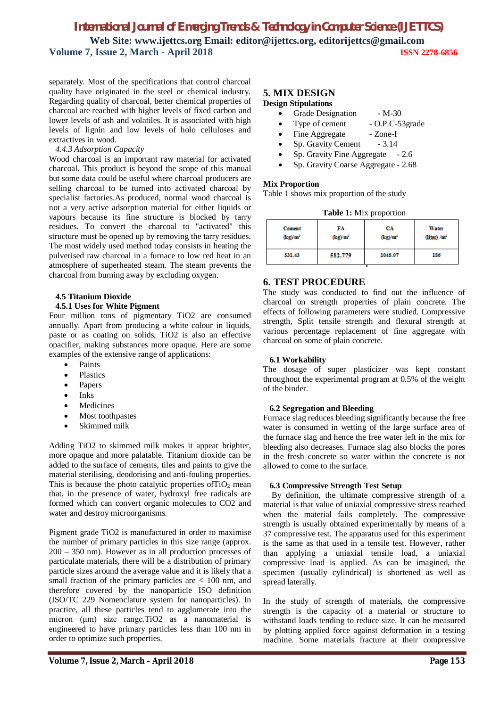separately. Most of the specifications that control charcoal quality have originated in the steel or chemical industry. Regarding quality of charcoal, better chemical properties of charcoal are reached with higher levels of fixed carbon and lower levels of ash and volatiles. It is associated with high levels of lignin and low levels of holo celluloses and extractives in wood.

#### *4.4.3 Adsorption Capacity*

Wood charcoal is an important raw material for activated charcoal. This product is beyond the scope of this manual but some data could be useful where charcoal producers are selling charcoal to be turned into activated charcoal by specialist factories.As produced, normal wood charcoal is not a very active adsorption material for either liquids or vapours because its fine structure is blocked by tarry residues. To convert the charcoal to "activated" this structure must be opened up by removing the tarry residues. The most widely used method today consists in heating the pulverised raw charcoal in a furnace to low red heat in an atmosphere of superheated steam. The steam prevents the charcoal from burning away by excluding oxygen.

### **4.5 Titanium Dioxide**

#### **4.5.1 Uses for White Pigment**

Four million tons of pigmentary TiO2 are consumed annually. Apart from producing a white colour in liquids, paste or as coating on solids, TiO2 is also an effective opacifier, making substances more opaque. Here are some examples of the extensive range of applications:

- Paints
- Plastics
- Papers
- $\bullet$  Inks
- Medicines
- Most toothpastes
- Skimmed milk

Adding TiO2 to skimmed milk makes it appear brighter, more opaque and more palatable. Titanium dioxide can be added to the surface of cements, tiles and paints to give the material sterilising, deodorising and anti-fouling properties. This is because the photo catalytic properties of  $TiO<sub>2</sub>$  mean that, in the presence of water, hydroxyl free radicals are formed which can convert organic molecules to CO2 and water and destroy microorganisms.

Pigment grade TiO2 is manufactured in order to maximise the number of primary particles in this size range (approx. 200 – 350 nm). However as in all production processes of particulate materials, there will be a distribution of primary particle sizes around the average value and it is likely that a small fraction of the primary particles are < 100 nm, and therefore covered by the nanoparticle ISO definition (ISO/TC 229 Nomenclature system for nanoparticles). In practice, all these particles tend to agglomerate into the micron (μm) size range.TiO2 as a nanomaterial is engineered to have primary particles less than 100 nm in order to optimize such properties.

#### **5. MIX DESIGN Design Stipulations**

- Grade Designation M-30
- Type of cement O.P.C-53grade
- Fine Aggregate Zone-I
- Sp. Gravity Cement 3.14
- Sp. Gravity Fine Aggregate  $-2.6$
- Sp. Gravity Coarse Aggregate 2.68

#### **Mix Proportion**

Table 1 shows mix proportion of the study

| Table 1: Mix proportion |  |
|-------------------------|--|
|-------------------------|--|

| <b>Cement</b> | FA         | CА         | Water                    |
|---------------|------------|------------|--------------------------|
| $(kg)/m^2$    | $(kg)/m^2$ | $(kg)/m^2$ | (liter) / m <sup>2</sup> |
| 531.43        | 582.779    | 1045.07    | 186                      |

## **6. TEST PROCEDURE**

The study was conducted to find out the influence of charcoal on strength properties of plain concrete. The effects of following parameters were studied. Compressive strength, Split tensile strength and flexural strength at various percentage replacement of fine aggregate with charcoal on some of plain concrete.

#### **6.1 Workability**

The dosage of super plasticizer was kept constant throughout the experimental program at 0.5% of the weight of the binder.

#### **6.2 Segregation and Bleeding**

Furnace slag reduces bleeding significantly because the free water is consumed in wetting of the large surface area of the furnace slag and hence the free water left in the mix for bleeding also decreases. Furnace slag also blocks the pores in the fresh concrete so water within the concrete is not allowed to come to the surface.

#### **6.3 Compressive Strength Test Setup**

By definition, the ultimate compressive strength of a material is that value of uniaxial compressive stress reached when the material fails completely. The compressive strength is usually obtained experimentally by means of a 37 compressive test. The apparatus used for this experiment is the same as that used in a tensile test. However, rather than applying a uniaxial tensile load, a uniaxial compressive load is applied. As can be imagined, the specimen (usually cylindrical) is shortened as well as spread laterally.

In the study of strength of materials, the compressive strength is the capacity of a material or structure to withstand loads tending to reduce size. It can be measured by plotting applied force against deformation in a testing machine. Some materials fracture at their compressive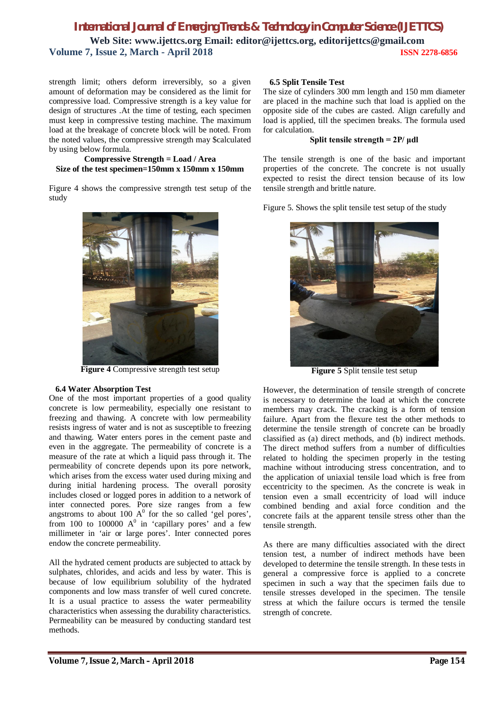strength limit; others deform irreversibly, so a given amount of deformation may be considered as the limit for compressive load. Compressive strength is a key value for design of structures .At the time of testing, each specimen must keep in compressive testing machine. The maximum load at the breakage of concrete block will be noted. From the noted values, the compressive strength may \$calculated by using below formula.

#### **Compressive Strength = Load / Area Size of the test specimen=150mm x 150mm x 150mm**

Figure 4 shows the compressive strength test setup of the study



**Figure 4** Compressive strength test setup

#### **6.4 Water Absorption Test**

One of the most important properties of a good quality concrete is low permeability, especially one resistant to freezing and thawing. A concrete with low permeability resists ingress of water and is not as susceptible to freezing and thawing. Water enters pores in the cement paste and even in the aggregate. The permeability of concrete is a measure of the rate at which a liquid pass through it. The permeability of concrete depends upon its pore network, which arises from the excess water used during mixing and during initial hardening process. The overall porosity includes closed or logged pores in addition to a network of inter connected pores. Pore size ranges from a few angstroms to about 100  $A^0$  for the so called 'gel pores', from 100 to 100000  $A^0$  in 'capillary pores' and a few millimeter in 'air or large pores'. Inter connected pores endow the concrete permeability.

All the hydrated cement products are subjected to attack by sulphates, chlorides, and acids and less by water. This is because of low equilibrium solubility of the hydrated components and low mass transfer of well cured concrete. It is a usual practice to assess the water permeability characteristics when assessing the durability characteristics. Permeability can be measured by conducting standard test methods.

#### **6.5 Split Tensile Test**

The size of cylinders 300 mm length and 150 mm diameter are placed in the machine such that load is applied on the opposite side of the cubes are casted. Align carefully and load is applied, till the specimen breaks. The formula used for calculation.

#### **Split tensile strength = 2P/ μdl**

The tensile strength is one of the basic and important properties of the concrete. The concrete is not usually expected to resist the direct tension because of its low tensile strength and brittle nature.

Figure 5. Shows the split tensile test setup of the study



**Figure 5** Split tensile test setup

However, the determination of tensile strength of concrete is necessary to determine the load at which the concrete members may crack. The cracking is a form of tension failure. Apart from the flexure test the other methods to determine the tensile strength of concrete can be broadly classified as (a) direct methods, and (b) indirect methods. The direct method suffers from a number of difficulties related to holding the specimen properly in the testing machine without introducing stress concentration, and to the application of uniaxial tensile load which is free from eccentricity to the specimen. As the concrete is weak in tension even a small eccentricity of load will induce combined bending and axial force condition and the concrete fails at the apparent tensile stress other than the tensile strength.

As there are many difficulties associated with the direct tension test, a number of indirect methods have been developed to determine the tensile strength. In these tests in general a compressive force is applied to a concrete specimen in such a way that the specimen fails due to tensile stresses developed in the specimen. The tensile stress at which the failure occurs is termed the tensile strength of concrete.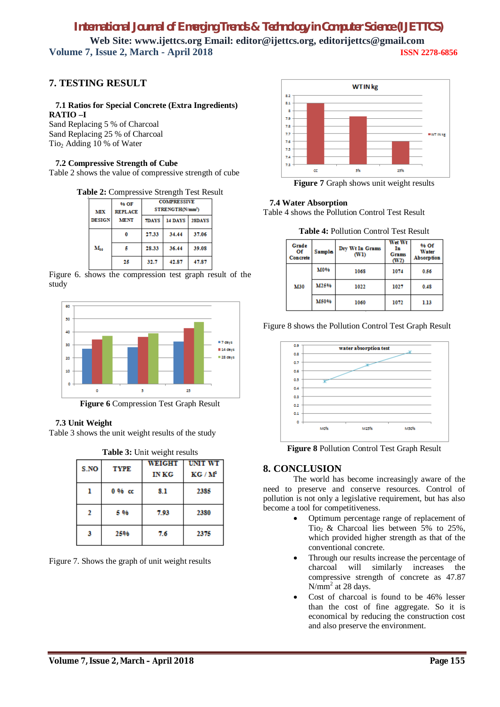# *International Journal of Emerging Trends & Technology in Computer Science (IJETTCS)*

**Web Site: www.ijettcs.org Email: editor@ijettcs.org, editorijettcs@gmail.com Volume 7, Issue 2, March - April 2018 ISSN 2278-6856**

# **7. TESTING RESULT**

# **7.1 Ratios for Special Concrete (Extra Ingredients)**

**RATIO –I**  Sand Replacing 5 % of Charcoal Sand Replacing 25 % of Charcoal Tio<sub>2</sub> Adding 10 % of Water

### **7.2 Compressive Strength of Cube**

Table 2 shows the value of compressive strength of cube

#### **Table 2:** Compressive Strength Test Result

| MІX                          | 96 OF<br><b>REPLACE</b> | <b>COMPRESSIVE</b><br>STRENGTH(N/mm <sup>3</sup> ) |        |       |
|------------------------------|-------------------------|----------------------------------------------------|--------|-------|
| <b>DESIGN</b><br><b>MENT</b> | <b>7DAYS</b>            | 14 DAYS                                            | 28DAYS |       |
|                              | O                       | 27.33                                              | 34.44  | 37.06 |
| $M_{30}$                     |                         | 28.33                                              | 36.44  | 39.08 |
|                              | 25                      | 32.7                                               | 42.87  | 47.87 |

Figure 6. shows the compression test graph result of the study



**Figure 6** Compression Test Graph Result

### **7.3 Unit Weight**

Table 3 shows the unit weight results of the study

|  | Table 3: Unit weight results |
|--|------------------------------|
|--|------------------------------|

| S.NO | <b>TYPE</b> | WEIGHT<br><b>IN KG</b> | <b>UNIT WT</b><br>KG/M <sup>2</sup> |
|------|-------------|------------------------|-------------------------------------|
|      | $0.96$ cc   | 8.1                    | 2385                                |
| 2    | 5 96        | 7.93                   | 2380                                |
|      | 25%         | 7.6                    | 2375                                |

Figure 7. Shows the graph of unit weight results



**Figure 7** Graph shows unit weight results

### **7.4 Water Absorption**

Table 4 shows the Pollution Control Test Result

| Grade<br>Οf<br>Concrete | <b>Sample</b> | Dry Wt In Grams<br>(WI) | Wet Wt<br>In<br><b>Grams</b><br>(W2) | <b>% Of</b><br>Water<br>Absorption |
|-------------------------|---------------|-------------------------|--------------------------------------|------------------------------------|
| <b>M30</b>              | <b>M0%</b>    | 1068                    | 1074                                 | 0.56                               |
|                         | M25%          | 1022                    | 1027                                 | 0.48                               |
|                         | M50%          | 1060                    | 1072                                 | 1.13                               |





**Figure 8** Pollution Control Test Graph Result

### **8. CONCLUSION**

The world has become increasingly aware of the need to preserve and conserve resources. Control of pollution is not only a legislative requirement, but has also become a tool for competitiveness.

- Optimum percentage range of replacement of Tio<sub>2</sub> & Charcoal lies between 5% to 25%, which provided higher strength as that of the conventional concrete.
- Through our results increase the percentage of charcoal will similarly increases the compressive strength of concrete as 47.87  $N/mm<sup>2</sup>$  at 28 days.
- Cost of charcoal is found to be 46% lesser than the cost of fine aggregate. So it is economical by reducing the construction cost and also preserve the environment.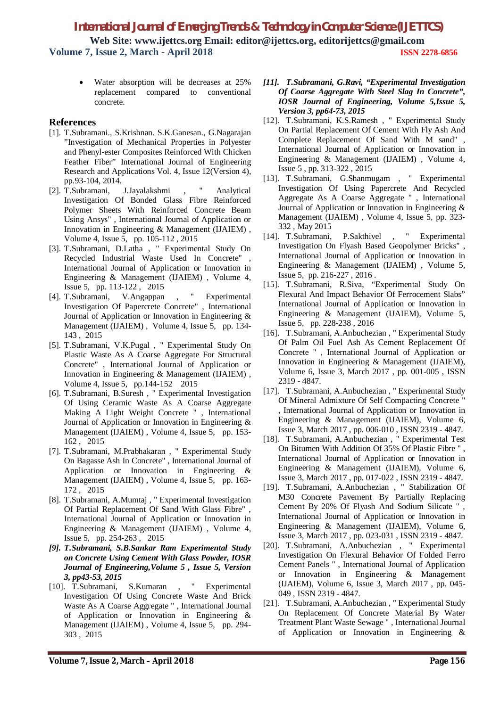Water absorption will be decreases at 25% replacement compared to conventional concrete.

### **References**

- [1]. T.Subramani., S.Krishnan. S.K.Ganesan., G.Nagarajan "Investigation of Mechanical Properties in Polyester and Phenyl-ester Composites Reinforced With Chicken Feather Fiber" International Journal of Engineering Research and Applications Vol. 4, Issue 12(Version 4), pp.93-104, 2014.
- [2]. T.Subramani, J.Jayalakshmi , " Analytical Investigation Of Bonded Glass Fibre Reinforced Polymer Sheets With Reinforced Concrete Beam Using Ansys" , International Journal of Application or Innovation in Engineering & Management (IJAIEM) , Volume 4, Issue 5, pp. 105-112 , 2015
- [3]. T.Subramani, D.Latha , " Experimental Study On Recycled Industrial Waste Used In Concrete" , International Journal of Application or Innovation in Engineering & Management (IJAIEM) , Volume 4, Issue 5, pp. 113-122 , 2015
- [4]. T.Subramani, V.Angappan , " Experimental Investigation Of Papercrete Concrete" , International Journal of Application or Innovation in Engineering & Management (IJAIEM) , Volume 4, Issue 5, pp. 134- 143 , 2015
- [5]. T.Subramani, V.K.Pugal , " Experimental Study On Plastic Waste As A Coarse Aggregate For Structural Concrete" , International Journal of Application or Innovation in Engineering & Management (IJAIEM) , Volume 4, Issue 5, pp.144-152 2015
- [6]. T.Subramani, B.Suresh , " Experimental Investigation Of Using Ceramic Waste As A Coarse Aggregate Making A Light Weight Concrete " , International Journal of Application or Innovation in Engineering & Management (IJAIEM) , Volume 4, Issue 5, pp. 153- 162 , 2015
- [7]. T.Subramani, M.Prabhakaran , " Experimental Study On Bagasse Ash In Concrete" , International Journal of Application or Innovation in Engineering & Management (IJAIEM) , Volume 4, Issue 5, pp. 163- 172 , 2015
- [8]. T.Subramani, A.Mumtaj , " Experimental Investigation Of Partial Replacement Of Sand With Glass Fibre" , International Journal of Application or Innovation in Engineering & Management (IJAIEM) , Volume 4, Issue 5, pp. 254-263 , 2015
- *[9]. T.Subramani, S.B.Sankar Ram Experimental Study on Concrete Using Cement With Glass Powder, IOSR Journal of Engineering,Volume 5 , Issue 5, Version 3, pp43-53, 2015*
- [10]. T.Subramani, S.Kumaran , " Experimental Investigation Of Using Concrete Waste And Brick Waste As A Coarse Aggregate " , International Journal of Application or Innovation in Engineering & Management (IJAIEM) , Volume 4, Issue 5, pp. 294- 303 , 2015
- *[11]. T.Subramani, G.Ravi, "Experimental Investigation Of Coarse Aggregate With Steel Slag In Concrete", IOSR Journal of Engineering, Volume 5,Issue 5, Version 3, pp64-73, 2015*
- [12]. T.Subramani, K.S.Ramesh , " Experimental Study On Partial Replacement Of Cement With Fly Ash And Complete Replacement Of Sand With M sand" , International Journal of Application or Innovation in Engineering & Management (IJAIEM) , Volume 4, Issue 5 , pp. 313-322 , 2015
- [13]. T.Subramani, G.Shanmugam , " Experimental Investigation Of Using Papercrete And Recycled Aggregate As A Coarse Aggregate " , International Journal of Application or Innovation in Engineering & Management (IJAIEM) , Volume 4, Issue 5, pp. 323- 332 , May 2015
- [14]. T.Subramani, P.Sakthivel , " Experimental Investigation On Flyash Based Geopolymer Bricks" , International Journal of Application or Innovation in Engineering & Management (IJAIEM) , Volume 5, Issue 5, pp. 216-227 , 2016 .
- [15]. T.Subramani, R.Siva, "Experimental Study On Flexural And Impact Behavior Of Ferrocement Slabs" International Journal of Application or Innovation in Engineering & Management (IJAIEM), Volume 5, Issue 5, pp. 228-238 , 2016
- [16]. T.Subramani, A.Anbuchezian , " Experimental Study Of Palm Oil Fuel Ash As Cement Replacement Of Concrete " , International Journal of Application or Innovation in Engineering & Management (IJAIEM), Volume 6, Issue 3, March 2017 , pp. 001-005 , ISSN 2319 - 4847.
- [17]. T.Subramani, A.Anbuchezian , " Experimental Study Of Mineral Admixture Of Self Compacting Concrete " , International Journal of Application or Innovation in Engineering & Management (IJAIEM), Volume 6, Issue 3, March 2017 , pp. 006-010 , ISSN 2319 - 4847.
- [18]. T.Subramani, A.Anbuchezian , " Experimental Test On Bitumen With Addition Of 35% Of Plastic Fibre " , International Journal of Application or Innovation in Engineering & Management (IJAIEM), Volume 6, Issue 3, March 2017 , pp. 017-022 , ISSN 2319 - 4847.
- [19]. T.Subramani, A.Anbuchezian , " Stabilization Of M30 Concrete Pavement By Partially Replacing Cement By 20% Of Flyash And Sodium Silicate " , International Journal of Application or Innovation in Engineering & Management (IJAIEM), Volume 6, Issue 3, March 2017 , pp. 023-031 , ISSN 2319 - 4847.
- [20]. T.Subramani, A.Anbuchezian , " Experimental Investigation On Flexural Behavior Of Folded Ferro Cement Panels " , International Journal of Application or Innovation in Engineering & Management (IJAIEM), Volume 6, Issue 3, March 2017 , pp. 045- 049 , ISSN 2319 - 4847.
- [21]. T.Subramani, A.Anbuchezian , " Experimental Study On Replacement Of Concrete Material By Water Treatment Plant Waste Sewage " , International Journal of Application or Innovation in Engineering &